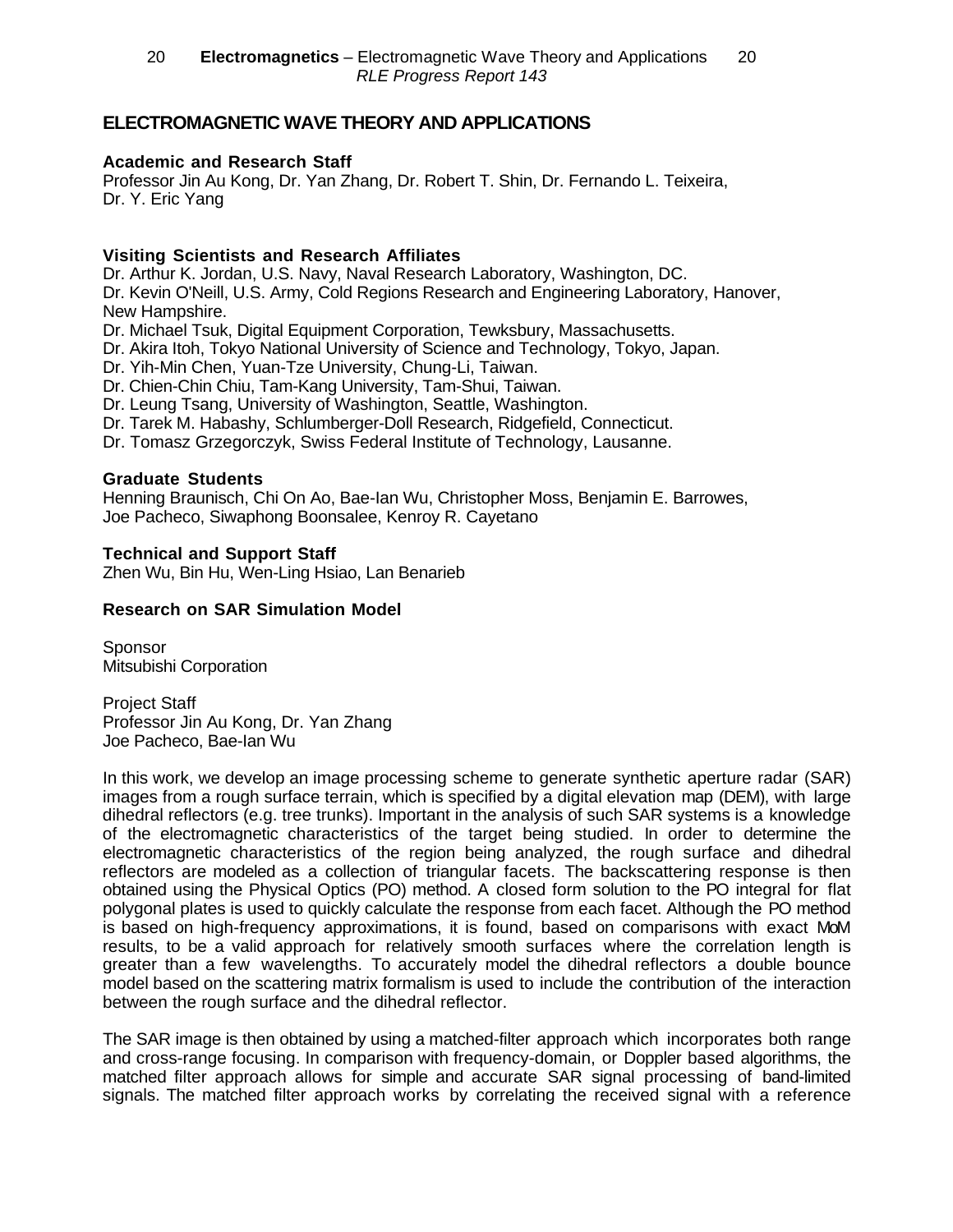# **ELECTROMAGNETIC WAVE THEORY AND APPLICATIONS**

#### **Academic and Research Staff**

Professor Jin Au Kong, Dr. Yan Zhang, Dr. Robert T. Shin, Dr. Fernando L. Teixeira, Dr. Y. Eric Yang

#### **Visiting Scientists and Research Affiliates**

Dr. Arthur K. Jordan, U.S. Navy, Naval Research Laboratory, Washington, DC. Dr. Kevin O'Neill, U.S. Army, Cold Regions Research and Engineering Laboratory, Hanover, New Hampshire.

Dr. Michael Tsuk, Digital Equipment Corporation, Tewksbury, Massachusetts.

Dr. Akira Itoh, Tokyo National University of Science and Technology, Tokyo, Japan.

Dr. Yih-Min Chen, Yuan-Tze University, Chung-Li, Taiwan.

Dr. Chien-Chin Chiu, Tam-Kang University, Tam-Shui, Taiwan.

Dr. Leung Tsang, University of Washington, Seattle, Washington.

Dr. Tarek M. Habashy, Schlumberger-Doll Research, Ridgefield, Connecticut.

Dr. Tomasz Grzegorczyk, Swiss Federal Institute of Technology, Lausanne.

### **Graduate Students**

Henning Braunisch, Chi On Ao, Bae-Ian Wu, Christopher Moss, Benjamin E. Barrowes, Joe Pacheco, Siwaphong Boonsalee, Kenroy R. Cayetano

#### **Technical and Support Staff**

Zhen Wu, Bin Hu, Wen-Ling Hsiao, Lan Benarieb

### **Research on SAR Simulation Model**

**Sponsor** Mitsubishi Corporation

Project Staff Professor Jin Au Kong, Dr. Yan Zhang Joe Pacheco, Bae-Ian Wu

In this work, we develop an image processing scheme to generate synthetic aperture radar (SAR) images from a rough surface terrain, which is specified by a digital elevation map (DEM), with large dihedral reflectors (e.g. tree trunks). Important in the analysis of such SAR systems is a knowledge of the electromagnetic characteristics of the target being studied. In order to determine the electromagnetic characteristics of the region being analyzed, the rough surface and dihedral reflectors are modeled as a collection of triangular facets. The backscattering response is then obtained using the Physical Optics (PO) method. A closed form solution to the PO integral for flat polygonal plates is used to quickly calculate the response from each facet. Although the PO method is based on high-frequency approximations, it is found, based on comparisons with exact MoM results, to be a valid approach for relatively smooth surfaces where the correlation length is greater than a few wavelengths. To accurately model the dihedral reflectors a double bounce model based on the scattering matrix formalism is used to include the contribution of the interaction between the rough surface and the dihedral reflector.

The SAR image is then obtained by using a matched-filter approach which incorporates both range and cross-range focusing. In comparison with frequency-domain, or Doppler based algorithms, the matched filter approach allows for simple and accurate SAR signal processing of band-limited signals. The matched filter approach works by correlating the received signal with a reference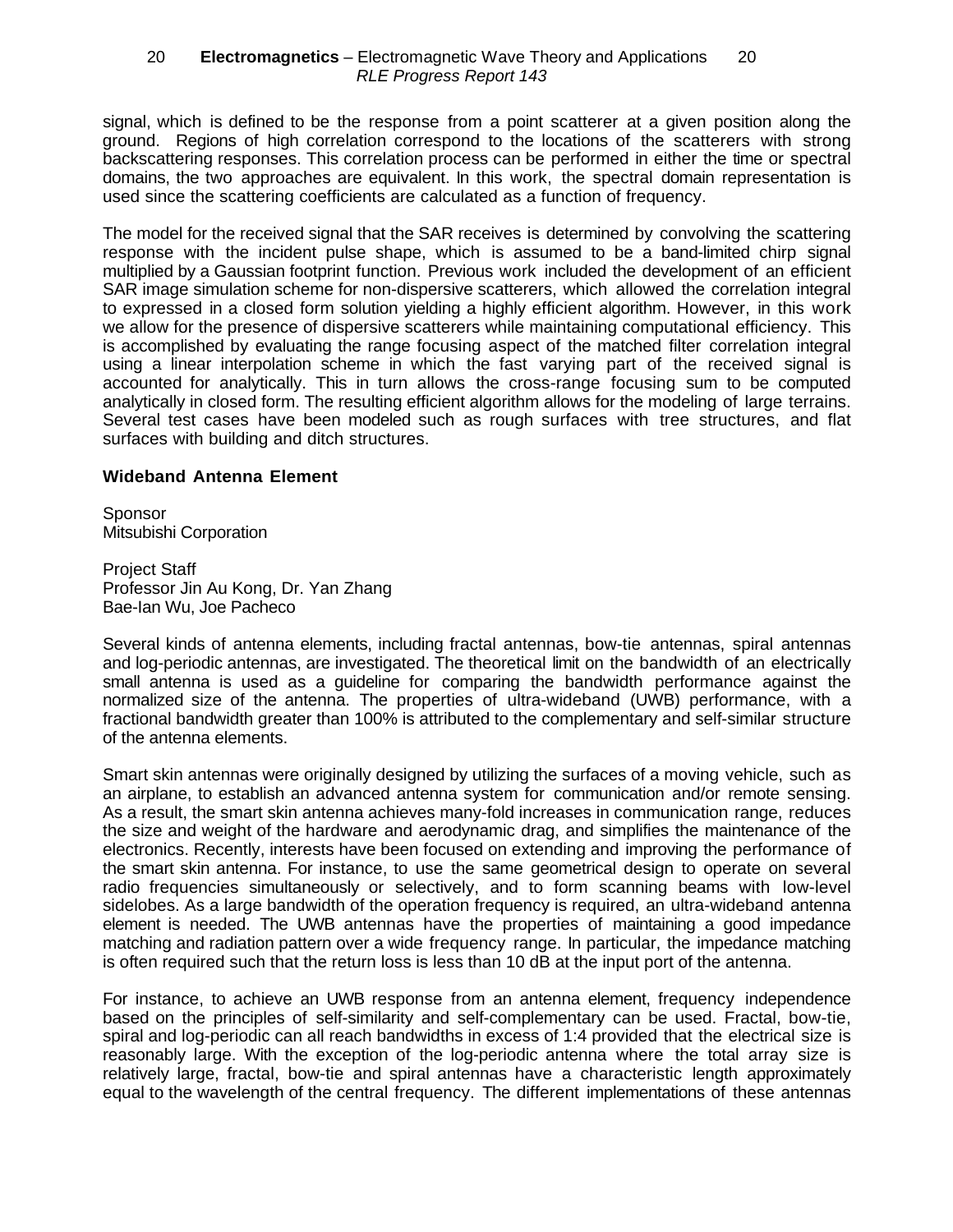signal, which is defined to be the response from a point scatterer at a given position along the ground. Regions of high correlation correspond to the locations of the scatterers with strong backscattering responses. This correlation process can be performed in either the time or spectral domains, the two approaches are equivalent. In this work, the spectral domain representation is used since the scattering coefficients are calculated as a function of frequency.

The model for the received signal that the SAR receives is determined by convolving the scattering response with the incident pulse shape, which is assumed to be a band-limited chirp signal multiplied by a Gaussian footprint function. Previous work included the development of an efficient SAR image simulation scheme for non-dispersive scatterers, which allowed the correlation integral to expressed in a closed form solution yielding a highly efficient algorithm. However, in this work we allow for the presence of dispersive scatterers while maintaining computational efficiency. This is accomplished by evaluating the range focusing aspect of the matched filter correlation integral using a linear interpolation scheme in which the fast varying part of the received signal is accounted for analytically. This in turn allows the cross-range focusing sum to be computed analytically in closed form. The resulting efficient algorithm allows for the modeling of large terrains. Several test cases have been modeled such as rough surfaces with tree structures, and flat surfaces with building and ditch structures.

#### **Wideband Antenna Element**

**Sponsor** Mitsubishi Corporation

Project Staff Professor Jin Au Kong, Dr. Yan Zhang Bae-Ian Wu, Joe Pacheco

Several kinds of antenna elements, including fractal antennas, bow-tie antennas, spiral antennas and log-periodic antennas, are investigated. The theoretical limit on the bandwidth of an electrically small antenna is used as a guideline for comparing the bandwidth performance against the normalized size of the antenna. The properties of ultra-wideband (UWB) performance, with a fractional bandwidth greater than 100% is attributed to the complementary and self-similar structure of the antenna elements.

Smart skin antennas were originally designed by utilizing the surfaces of a moving vehicle, such as an airplane, to establish an advanced antenna system for communication and/or remote sensing. As a result, the smart skin antenna achieves many-fold increases in communication range, reduces the size and weight of the hardware and aerodynamic drag, and simplifies the maintenance of the electronics. Recently, interests have been focused on extending and improving the performance of the smart skin antenna. For instance, to use the same geometrical design to operate on several radio frequencies simultaneously or selectively, and to form scanning beams with low-level sidelobes. As a large bandwidth of the operation frequency is required, an ultra-wideband antenna element is needed. The UWB antennas have the properties of maintaining a good impedance matching and radiation pattern over a wide frequency range. In particular, the impedance matching is often required such that the return loss is less than 10 dB at the input port of the antenna.

For instance, to achieve an UWB response from an antenna element, frequency independence based on the principles of self-similarity and self-complementary can be used. Fractal, bow-tie, spiral and log-periodic can all reach bandwidths in excess of 1:4 provided that the electrical size is reasonably large. With the exception of the log-periodic antenna where the total array size is relatively large, fractal, bow-tie and spiral antennas have a characteristic length approximately equal to the wavelength of the central frequency. The different implementations of these antennas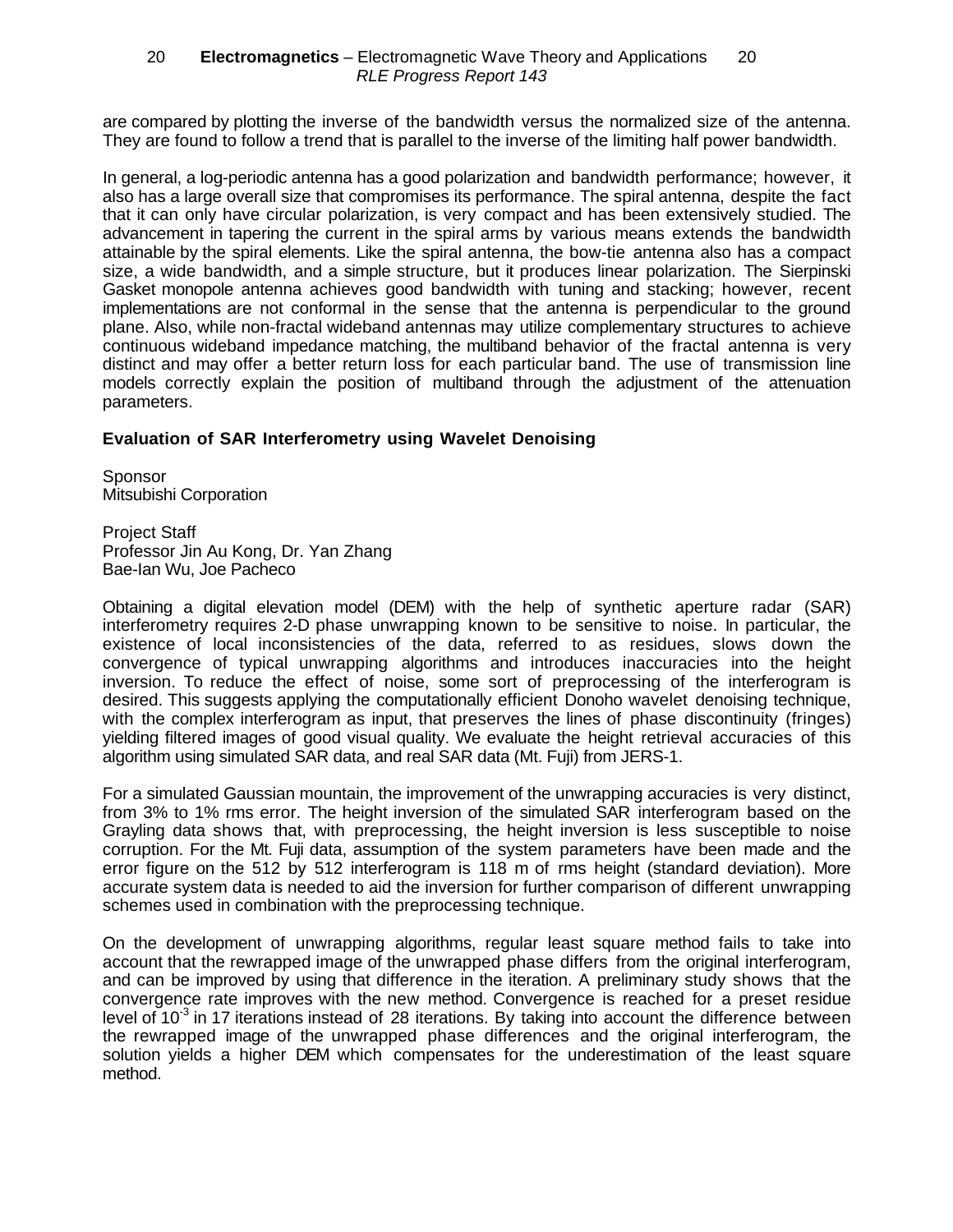are compared by plotting the inverse of the bandwidth versus the normalized size of the antenna. They are found to follow a trend that is parallel to the inverse of the limiting half power bandwidth.

In general, a log-periodic antenna has a good polarization and bandwidth performance; however, it also has a large overall size that compromises its performance. The spiral antenna, despite the fact that it can only have circular polarization, is very compact and has been extensively studied. The advancement in tapering the current in the spiral arms by various means extends the bandwidth attainable by the spiral elements. Like the spiral antenna, the bow-tie antenna also has a compact size, a wide bandwidth, and a simple structure, but it produces linear polarization. The Sierpinski Gasket monopole antenna achieves good bandwidth with tuning and stacking; however, recent implementations are not conformal in the sense that the antenna is perpendicular to the ground plane. Also, while non-fractal wideband antennas may utilize complementary structures to achieve continuous wideband impedance matching, the multiband behavior of the fractal antenna is very distinct and may offer a better return loss for each particular band. The use of transmission line models correctly explain the position of multiband through the adjustment of the attenuation parameters.

#### **Evaluation of SAR Interferometry using Wavelet Denoising**

**Sponsor** Mitsubishi Corporation

Project Staff Professor Jin Au Kong, Dr. Yan Zhang Bae-Ian Wu, Joe Pacheco

Obtaining a digital elevation model (DEM) with the help of synthetic aperture radar (SAR) interferometry requires 2-D phase unwrapping known to be sensitive to noise. In particular, the existence of local inconsistencies of the data, referred to as residues, slows down the convergence of typical unwrapping algorithms and introduces inaccuracies into the height inversion. To reduce the effect of noise, some sort of preprocessing of the interferogram is desired. This suggests applying the computationally efficient Donoho wavelet denoising technique, with the complex interferogram as input, that preserves the lines of phase discontinuity (fringes) yielding filtered images of good visual quality. We evaluate the height retrieval accuracies of this algorithm using simulated SAR data, and real SAR data (Mt. Fuji) from JERS-1.

For a simulated Gaussian mountain, the improvement of the unwrapping accuracies is very distinct, from 3% to 1% rms error. The height inversion of the simulated SAR interferogram based on the Grayling data shows that, with preprocessing, the height inversion is less susceptible to noise corruption. For the Mt. Fuji data, assumption of the system parameters have been made and the error figure on the 512 by 512 interferogram is 118 m of rms height (standard deviation). More accurate system data is needed to aid the inversion for further comparison of different unwrapping schemes used in combination with the preprocessing technique.

On the development of unwrapping algorithms, regular least square method fails to take into account that the rewrapped image of the unwrapped phase differs from the original interferogram, and can be improved by using that difference in the iteration. A preliminary study shows that the convergence rate improves with the new method. Convergence is reached for a preset residue level of  $10<sup>-3</sup>$  in 17 iterations instead of 28 iterations. By taking into account the difference between the rewrapped image of the unwrapped phase differences and the original interferogram, the solution yields a higher DEM which compensates for the underestimation of the least square method.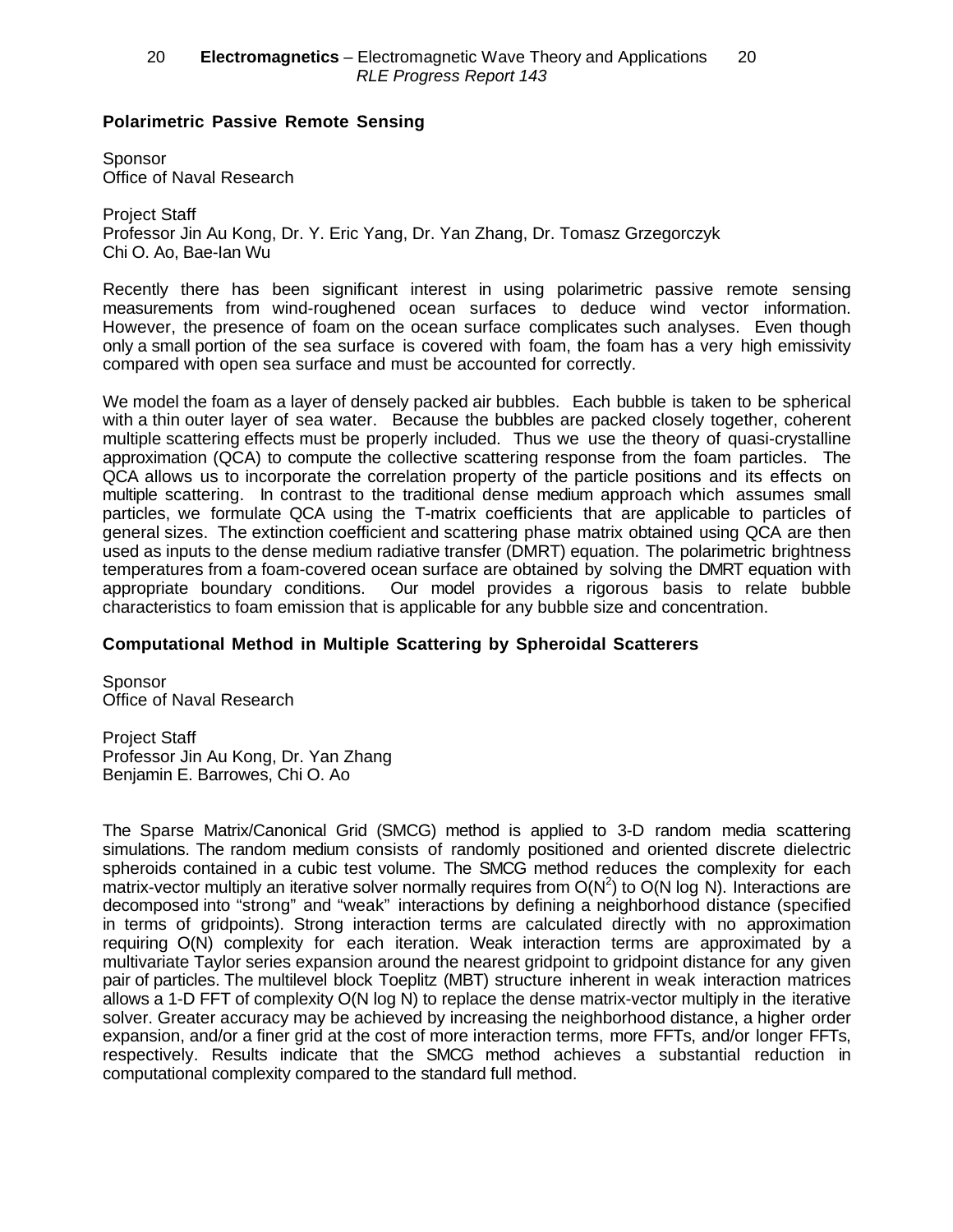#### **Polarimetric Passive Remote Sensing**

**Sponsor** Office of Naval Research

Project Staff Professor Jin Au Kong, Dr. Y. Eric Yang, Dr. Yan Zhang, Dr. Tomasz Grzegorczyk Chi O. Ao, Bae-Ian Wu

Recently there has been significant interest in using polarimetric passive remote sensing measurements from wind-roughened ocean surfaces to deduce wind vector information. However, the presence of foam on the ocean surface complicates such analyses. Even though only a small portion of the sea surface is covered with foam, the foam has a very high emissivity compared with open sea surface and must be accounted for correctly.

We model the foam as a layer of densely packed air bubbles. Each bubble is taken to be spherical with a thin outer layer of sea water. Because the bubbles are packed closely together, coherent multiple scattering effects must be properly included. Thus we use the theory of quasi-crystalline approximation (QCA) to compute the collective scattering response from the foam particles. The QCA allows us to incorporate the correlation property of the particle positions and its effects on multiple scattering. In contrast to the traditional dense medium approach which assumes small particles, we formulate QCA using the T-matrix coefficients that are applicable to particles of general sizes. The extinction coefficient and scattering phase matrix obtained using QCA are then used as inputs to the dense medium radiative transfer (DMRT) equation. The polarimetric brightness temperatures from a foam-covered ocean surface are obtained by solving the DMRT equation with appropriate boundary conditions. Our model provides a rigorous basis to relate bubble characteristics to foam emission that is applicable for any bubble size and concentration.

### **Computational Method in Multiple Scattering by Spheroidal Scatterers**

Sponsor Office of Naval Research

Project Staff Professor Jin Au Kong, Dr. Yan Zhang Benjamin E. Barrowes, Chi O. Ao

The Sparse Matrix/Canonical Grid (SMCG) method is applied to 3-D random media scattering simulations. The random medium consists of randomly positioned and oriented discrete dielectric spheroids contained in a cubic test volume. The SMCG method reduces the complexity for each matrix-vector multiply an iterative solver normally requires from  $O(N^2)$  to  $O(N \log N)$ . Interactions are decomposed into "strong" and "weak" interactions by defining a neighborhood distance (specified in terms of gridpoints). Strong interaction terms are calculated directly with no approximation requiring O(N) complexity for each iteration. Weak interaction terms are approximated by a multivariate Taylor series expansion around the nearest gridpoint to gridpoint distance for any given pair of particles. The multilevel block Toeplitz (MBT) structure inherent in weak interaction matrices allows a 1-D FFT of complexity O(N log N) to replace the dense matrix-vector multiply in the iterative solver. Greater accuracy may be achieved by increasing the neighborhood distance, a higher order expansion, and/or a finer grid at the cost of more interaction terms, more FFTs, and/or longer FFTs, respectively. Results indicate that the SMCG method achieves a substantial reduction in computational complexity compared to the standard full method.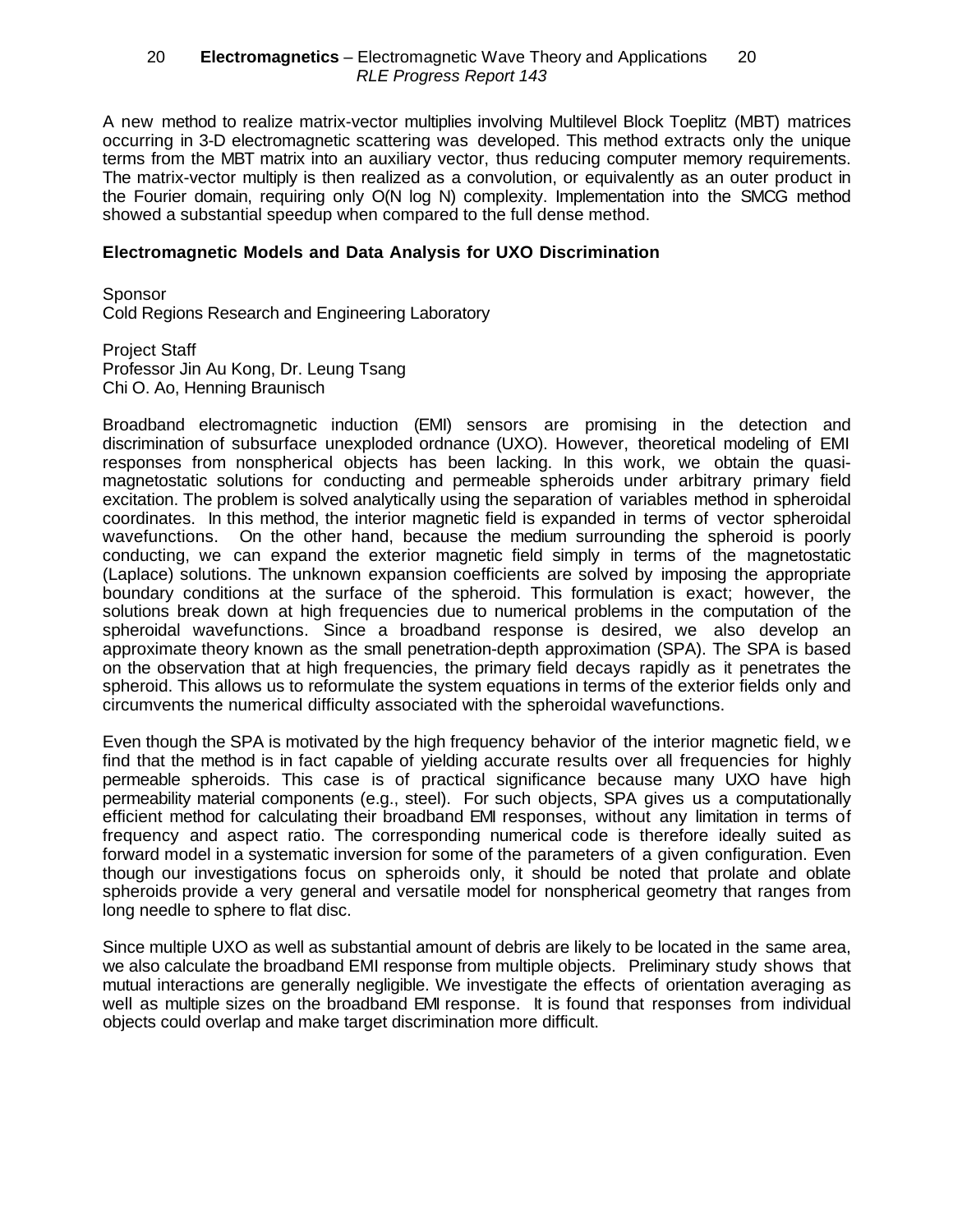A new method to realize matrix-vector multiplies involving Multilevel Block Toeplitz (MBT) matrices occurring in 3-D electromagnetic scattering was developed. This method extracts only the unique terms from the MBT matrix into an auxiliary vector, thus reducing computer memory requirements. The matrix-vector multiply is then realized as a convolution, or equivalently as an outer product in the Fourier domain, requiring only O(N log N) complexity. Implementation into the SMCG method showed a substantial speedup when compared to the full dense method.

#### **Electromagnetic Models and Data Analysis for UXO Discrimination**

**Sponsor** Cold Regions Research and Engineering Laboratory

Project Staff Professor Jin Au Kong, Dr. Leung Tsang Chi O. Ao, Henning Braunisch

Broadband electromagnetic induction (EMI) sensors are promising in the detection and discrimination of subsurface unexploded ordnance (UXO). However, theoretical modeling of EMI responses from nonspherical objects has been lacking. In this work, we obtain the quasimagnetostatic solutions for conducting and permeable spheroids under arbitrary primary field excitation. The problem is solved analytically using the separation of variables method in spheroidal coordinates. In this method, the interior magnetic field is expanded in terms of vector spheroidal wavefunctions. On the other hand, because the medium surrounding the spheroid is poorly conducting, we can expand the exterior magnetic field simply in terms of the magnetostatic (Laplace) solutions. The unknown expansion coefficients are solved by imposing the appropriate boundary conditions at the surface of the spheroid. This formulation is exact; however, the solutions break down at high frequencies due to numerical problems in the computation of the spheroidal wavefunctions. Since a broadband response is desired, we also develop an approximate theory known as the small penetration-depth approximation (SPA). The SPA is based on the observation that at high frequencies, the primary field decays rapidly as it penetrates the spheroid. This allows us to reformulate the system equations in terms of the exterior fields only and circumvents the numerical difficulty associated with the spheroidal wavefunctions.

Even though the SPA is motivated by the high frequency behavior of the interior magnetic field, w e find that the method is in fact capable of yielding accurate results over all frequencies for highly permeable spheroids. This case is of practical significance because many UXO have high permeability material components (e.g., steel). For such objects, SPA gives us a computationally efficient method for calculating their broadband EMI responses, without any limitation in terms of frequency and aspect ratio. The corresponding numerical code is therefore ideally suited as forward model in a systematic inversion for some of the parameters of a given configuration. Even though our investigations focus on spheroids only, it should be noted that prolate and oblate spheroids provide a very general and versatile model for nonspherical geometry that ranges from long needle to sphere to flat disc.

Since multiple UXO as well as substantial amount of debris are likely to be located in the same area, we also calculate the broadband EMI response from multiple objects. Preliminary study shows that mutual interactions are generally negligible. We investigate the effects of orientation averaging as well as multiple sizes on the broadband EMI response. It is found that responses from individual objects could overlap and make target discrimination more difficult.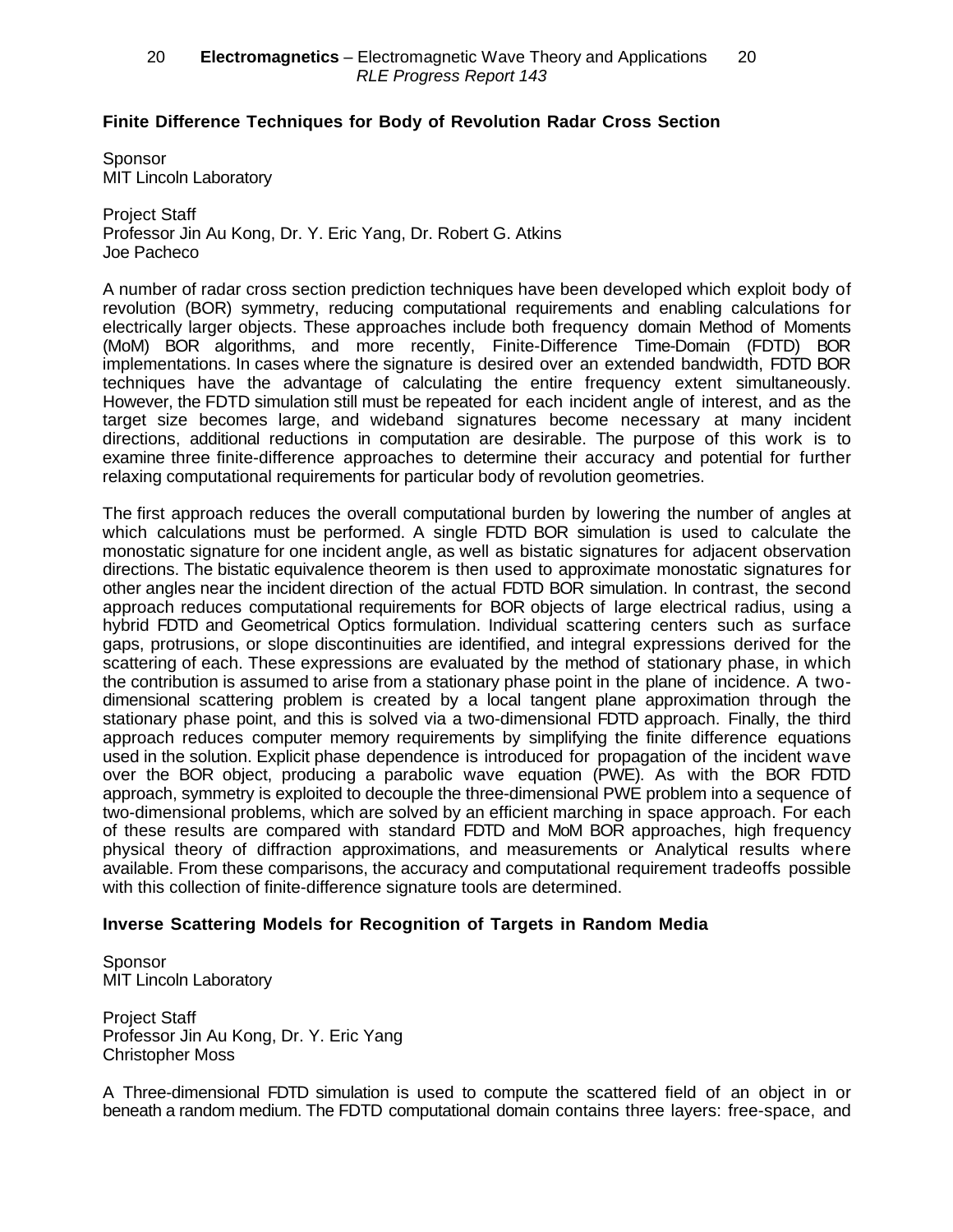### **Finite Difference Techniques for Body of Revolution Radar Cross Section**

**Sponsor** MIT Lincoln Laboratory

Project Staff Professor Jin Au Kong, Dr. Y. Eric Yang, Dr. Robert G. Atkins Joe Pacheco

A number of radar cross section prediction techniques have been developed which exploit body of revolution (BOR) symmetry, reducing computational requirements and enabling calculations for electrically larger objects. These approaches include both frequency domain Method of Moments (MoM) BOR algorithms, and more recently, Finite-Difference Time-Domain (FDTD) BOR implementations. In cases where the signature is desired over an extended bandwidth, FDTD BOR techniques have the advantage of calculating the entire frequency extent simultaneously. However, the FDTD simulation still must be repeated for each incident angle of interest, and as the target size becomes large, and wideband signatures become necessary at many incident directions, additional reductions in computation are desirable. The purpose of this work is to examine three finite-difference approaches to determine their accuracy and potential for further relaxing computational requirements for particular body of revolution geometries.

The first approach reduces the overall computational burden by lowering the number of angles at which calculations must be performed. A single FDTD BOR simulation is used to calculate the monostatic signature for one incident angle, as well as bistatic signatures for adjacent observation directions. The bistatic equivalence theorem is then used to approximate monostatic signatures for other angles near the incident direction of the actual FDTD BOR simulation. In contrast, the second approach reduces computational requirements for BOR objects of large electrical radius, using a hybrid FDTD and Geometrical Optics formulation. Individual scattering centers such as surface gaps, protrusions, or slope discontinuities are identified, and integral expressions derived for the scattering of each. These expressions are evaluated by the method of stationary phase, in which the contribution is assumed to arise from a stationary phase point in the plane of incidence. A twodimensional scattering problem is created by a local tangent plane approximation through the stationary phase point, and this is solved via a two-dimensional FDTD approach. Finally, the third approach reduces computer memory requirements by simplifying the finite difference equations used in the solution. Explicit phase dependence is introduced for propagation of the incident wave over the BOR object, producing a parabolic wave equation (PWE). As with the BOR FDTD approach, symmetry is exploited to decouple the three-dimensional PWE problem into a sequence of two-dimensional problems, which are solved by an efficient marching in space approach. For each of these results are compared with standard FDTD and MoM BOR approaches, high frequency physical theory of diffraction approximations, and measurements or Analytical results where available. From these comparisons, the accuracy and computational requirement tradeoffs possible with this collection of finite-difference signature tools are determined.

#### **Inverse Scattering Models for Recognition of Targets in Random Media**

**Sponsor** MIT Lincoln Laboratory

Project Staff Professor Jin Au Kong, Dr. Y. Eric Yang Christopher Moss

A Three-dimensional FDTD simulation is used to compute the scattered field of an object in or beneath a random medium. The FDTD computational domain contains three layers: free-space, and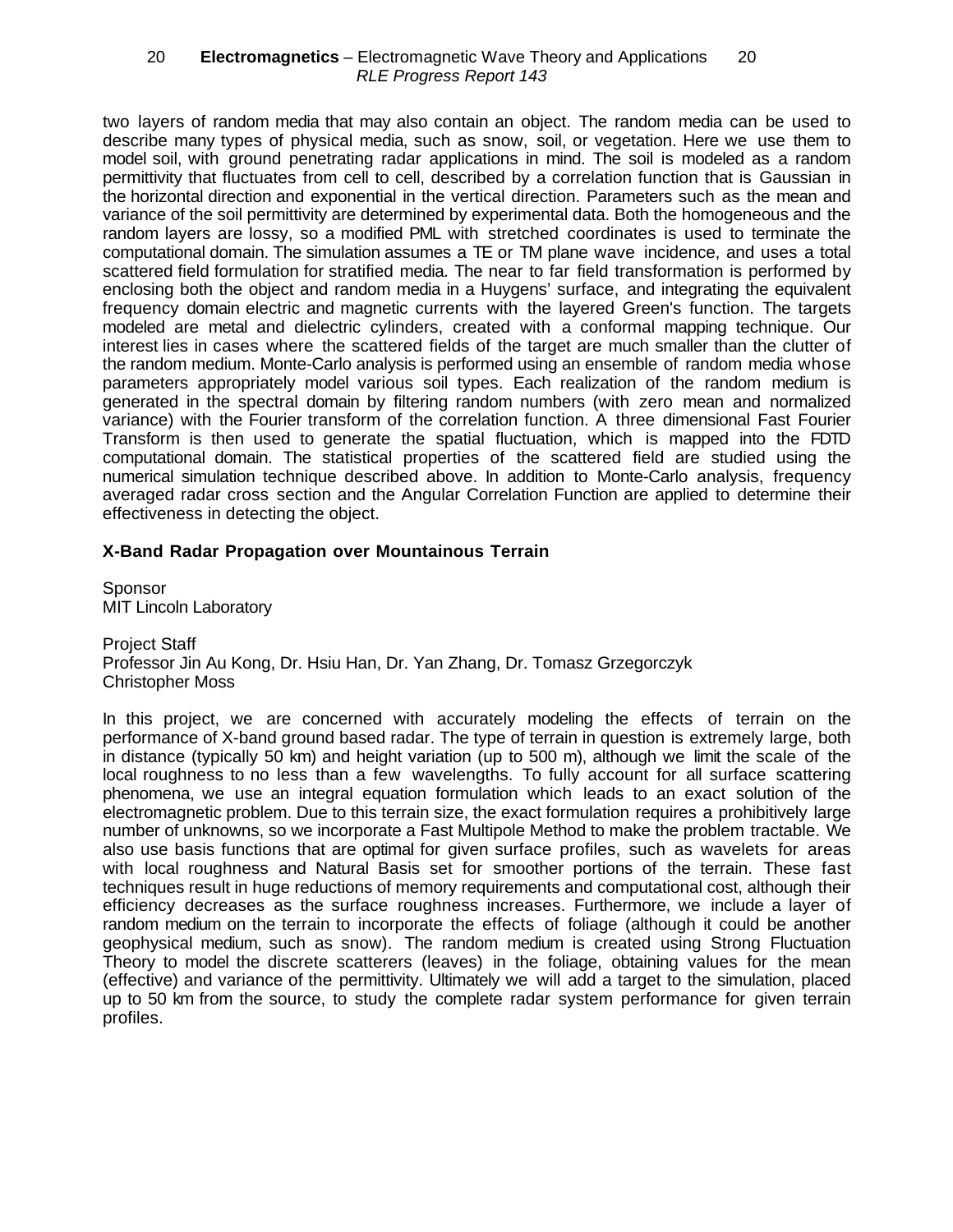two layers of random media that may also contain an object. The random media can be used to describe many types of physical media, such as snow, soil, or vegetation. Here we use them to model soil, with ground penetrating radar applications in mind. The soil is modeled as a random permittivity that fluctuates from cell to cell, described by a correlation function that is Gaussian in the horizontal direction and exponential in the vertical direction. Parameters such as the mean and variance of the soil permittivity are determined by experimental data. Both the homogeneous and the random layers are lossy, so a modified PML with stretched coordinates is used to terminate the computational domain. The simulation assumes a TE or TM plane wave incidence, and uses a total scattered field formulation for stratified media. The near to far field transformation is performed by enclosing both the object and random media in a Huygens' surface, and integrating the equivalent frequency domain electric and magnetic currents with the layered Green's function. The targets modeled are metal and dielectric cylinders, created with a conformal mapping technique. Our interest lies in cases where the scattered fields of the target are much smaller than the clutter of the random medium. Monte-Carlo analysis is performed using an ensemble of random media whose parameters appropriately model various soil types. Each realization of the random medium is generated in the spectral domain by filtering random numbers (with zero mean and normalized variance) with the Fourier transform of the correlation function. A three dimensional Fast Fourier Transform is then used to generate the spatial fluctuation, which is mapped into the FDTD computational domain. The statistical properties of the scattered field are studied using the numerical simulation technique described above. In addition to Monte-Carlo analysis, frequency averaged radar cross section and the Angular Correlation Function are applied to determine their effectiveness in detecting the object.

### **X-Band Radar Propagation over Mountainous Terrain**

Sponsor MIT Lincoln Laboratory

Project Staff Professor Jin Au Kong, Dr. Hsiu Han, Dr. Yan Zhang, Dr. Tomasz Grzegorczyk Christopher Moss

In this project, we are concerned with accurately modeling the effects of terrain on the performance of X-band ground based radar. The type of terrain in question is extremely large, both in distance (typically 50 km) and height variation (up to 500 m), although we limit the scale of the local roughness to no less than a few wavelengths. To fully account for all surface scattering phenomena, we use an integral equation formulation which leads to an exact solution of the electromagnetic problem. Due to this terrain size, the exact formulation requires a prohibitively large number of unknowns, so we incorporate a Fast Multipole Method to make the problem tractable. We also use basis functions that are optimal for given surface profiles, such as wavelets for areas with local roughness and Natural Basis set for smoother portions of the terrain. These fast techniques result in huge reductions of memory requirements and computational cost, although their efficiency decreases as the surface roughness increases. Furthermore, we include a layer of random medium on the terrain to incorporate the effects of foliage (although it could be another geophysical medium, such as snow). The random medium is created using Strong Fluctuation Theory to model the discrete scatterers (leaves) in the foliage, obtaining values for the mean (effective) and variance of the permittivity. Ultimately we will add a target to the simulation, placed up to 50 km from the source, to study the complete radar system performance for given terrain profiles.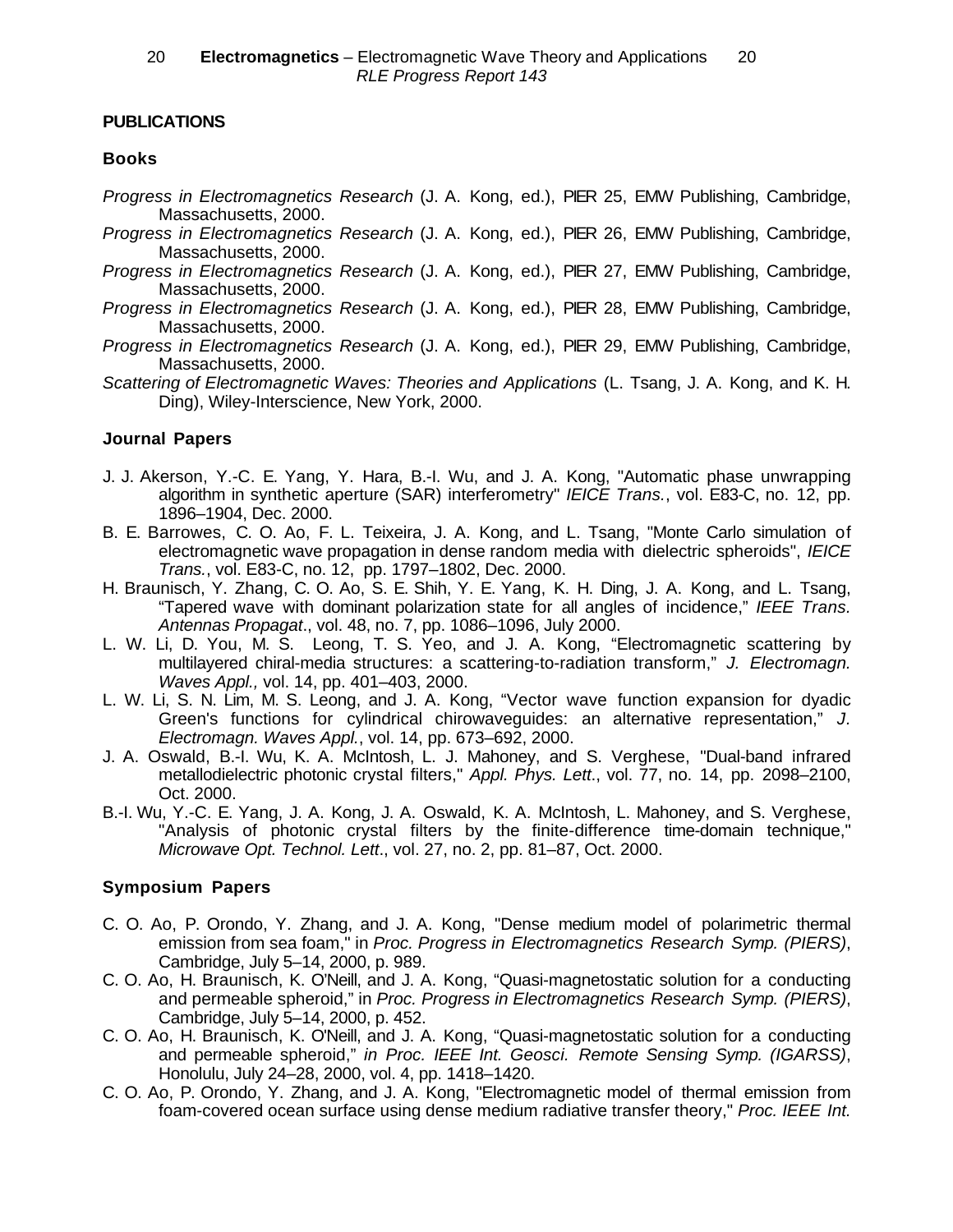## **PUBLICATIONS**

### **Books**

- *Progress in Electromagnetics Research* (J. A. Kong, ed.), PIER 25, EMW Publishing, Cambridge, Massachusetts, 2000.
- *Progress in Electromagnetics Research* (J. A. Kong, ed.), PIER 26, EMW Publishing, Cambridge, Massachusetts, 2000.
- *Progress in Electromagnetics Research* (J. A. Kong, ed.), PIER 27, EMW Publishing, Cambridge, Massachusetts, 2000.
- *Progress in Electromagnetics Research* (J. A. Kong, ed.), PIER 28, EMW Publishing, Cambridge, Massachusetts, 2000.
- *Progress in Electromagnetics Research* (J. A. Kong, ed.), PIER 29, EMW Publishing, Cambridge, Massachusetts, 2000.
- *Scattering of Electromagnetic Waves: Theories and Applications* (L. Tsang, J. A. Kong, and K. H. Ding), Wiley-Interscience, New York, 2000.

### **Journal Papers**

- J. J. Akerson, Y.-C. E. Yang, Y. Hara, B.-I. Wu, and J. A. Kong, "Automatic phase unwrapping algorithm in synthetic aperture (SAR) interferometry" *IEICE Trans.*, vol. E83-C, no. 12, pp. 1896–1904, Dec. 2000.
- B. E. Barrowes, C. O. Ao, F. L. Teixeira, J. A. Kong, and L. Tsang, "Monte Carlo simulation of electromagnetic wave propagation in dense random media with dielectric spheroids", *IEICE Trans.*, vol. E83-C, no. 12, pp. 1797–1802, Dec. 2000.
- H. Braunisch, Y. Zhang, C. O. Ao, S. E. Shih, Y. E. Yang, K. H. Ding, J. A. Kong, and L. Tsang, "Tapered wave with dominant polarization state for all angles of incidence," *IEEE Trans. Antennas Propagat*., vol. 48, no. 7, pp. 1086–1096, July 2000.
- L. W. Li, D. You, M. S. Leong, T. S. Yeo, and J. A. Kong, "Electromagnetic scattering by multilayered chiral-media structures: a scattering-to-radiation transform," *J. Electromagn. Waves Appl.,* vol. 14, pp. 401–403, 2000.
- L. W. Li, S. N. Lim, M. S. Leong, and J. A. Kong, "Vector wave function expansion for dyadic Green's functions for cylindrical chirowaveguides: an alternative representation," *J. Electromagn. Waves Appl.*, vol. 14, pp. 673–692, 2000.
- J. A. Oswald, B.-I. Wu, K. A. McIntosh, L. J. Mahoney, and S. Verghese, "Dual-band infrared metallodielectric photonic crystal filters," *Appl. Phys. Lett*., vol. 77, no. 14, pp. 2098–2100, Oct. 2000.
- B.-I. Wu, Y.-C. E. Yang, J. A. Kong, J. A. Oswald, K. A. McIntosh, L. Mahoney, and S. Verghese, "Analysis of photonic crystal filters by the finite-difference time-domain technique," *Microwave Opt. Technol. Lett*., vol. 27, no. 2, pp. 81–87, Oct. 2000.

### **Symposium Papers**

- C. O. Ao, P. Orondo, Y. Zhang, and J. A. Kong, "Dense medium model of polarimetric thermal emission from sea foam," in *Proc. Progress in Electromagnetics Research Symp. (PIERS)*, Cambridge, July 5–14, 2000, p. 989.
- C. O. Ao, H. Braunisch, K. O'Neill, and J. A. Kong, "Quasi-magnetostatic solution for a conducting and permeable spheroid," in *Proc. Progress in Electromagnetics Research Symp. (PIERS)*, Cambridge, July 5–14, 2000, p. 452.
- C. O. Ao, H. Braunisch, K. O'Neill, and J. A. Kong, "Quasi-magnetostatic solution for a conducting and permeable spheroid," *in Proc. IEEE Int. Geosci. Remote Sensing Symp. (IGARSS)*, Honolulu, July 24–28, 2000, vol. 4, pp. 1418–1420.
- C. O. Ao, P. Orondo, Y. Zhang, and J. A. Kong, "Electromagnetic model of thermal emission from foam-covered ocean surface using dense medium radiative transfer theory," *Proc. IEEE Int.*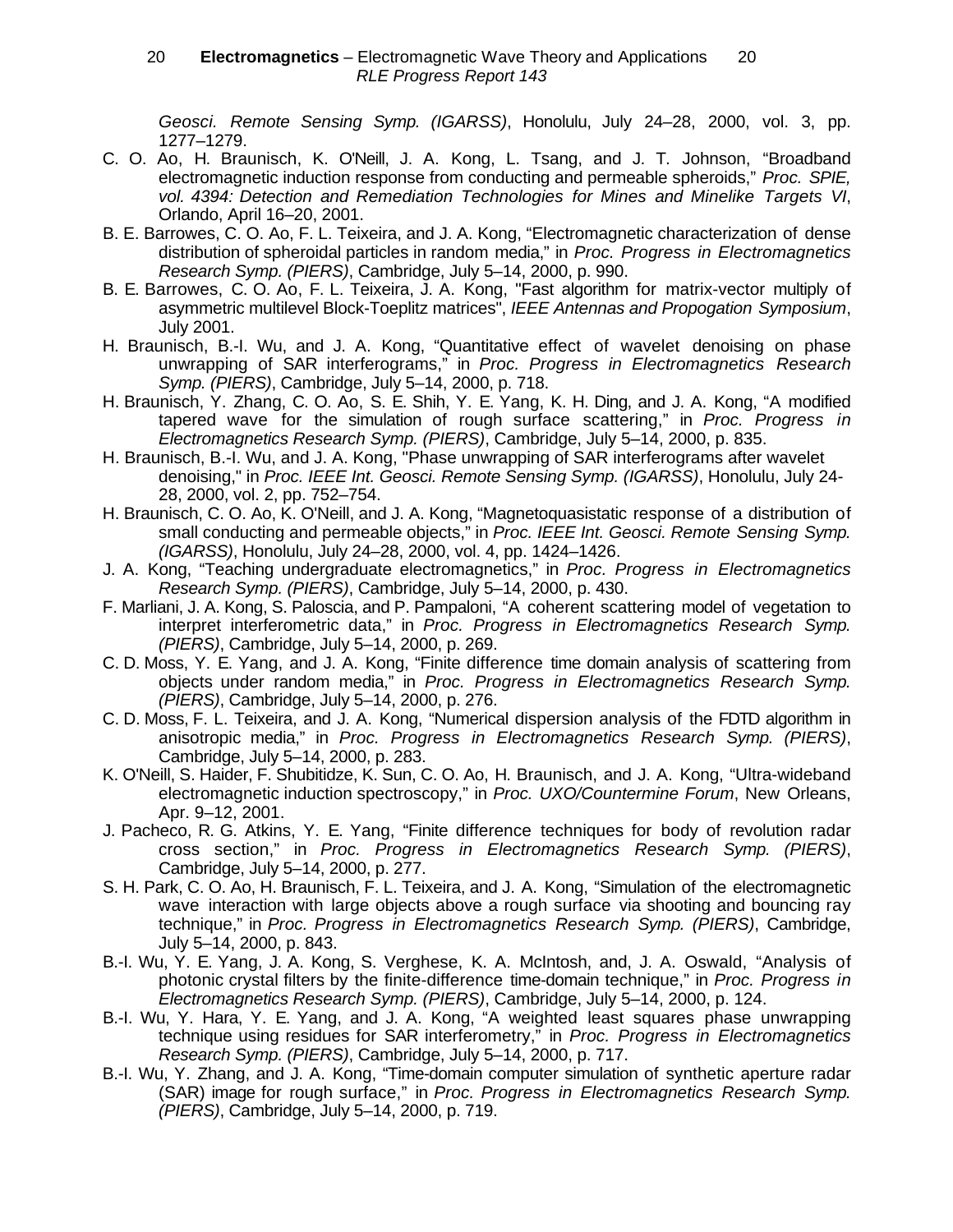#### 20 **— Electromagnetics** – Electromagnetic Wave Theory and Applications — 20 RLE Progress Report 143

*Geosci. Remote Sensing Symp. (IGARSS)*, Honolulu, July 24–28, 2000, vol. 3, pp. 1277–1279.

- C. O. Ao, H. Braunisch, K. O'Neill, J. A. Kong, L. Tsang, and J. T. Johnson, "Broadband electromagnetic induction response from conducting and permeable spheroids," *Proc. SPIE, vol. 4394: Detection and Remediation Technologies for Mines and Minelike Targets VI*, Orlando, April 16–20, 2001.
- B. E. Barrowes, C. O. Ao, F. L. Teixeira, and J. A. Kong, "Electromagnetic characterization of dense distribution of spheroidal particles in random media," in *Proc. Progress in Electromagnetics Research Symp. (PIERS)*, Cambridge, July 5–14, 2000, p. 990.
- B. E. Barrowes, C. O. Ao, F. L. Teixeira, J. A. Kong, "Fast algorithm for matrix-vector multiply of asymmetric multilevel Block-Toeplitz matrices", *IEEE Antennas and Propogation Symposium*, July 2001.
- H. Braunisch, B.-I. Wu, and J. A. Kong, "Quantitative effect of wavelet denoising on phase unwrapping of SAR interferograms," in *Proc. Progress in Electromagnetics Research Symp. (PIERS)*, Cambridge, July 5–14, 2000, p. 718.
- H. Braunisch, Y. Zhang, C. O. Ao, S. E. Shih, Y. E. Yang, K. H. Ding, and J. A. Kong, "A modified tapered wave for the simulation of rough surface scattering," in *Proc. Progress in Electromagnetics Research Symp. (PIERS)*, Cambridge, July 5–14, 2000, p. 835.
- H. Braunisch, B.-I. Wu, and J. A. Kong, "Phase unwrapping of SAR interferograms after wavelet denoising," in *Proc. IEEE Int. Geosci. Remote Sensing Symp. (IGARSS)*, Honolulu, July 24- 28, 2000, vol. 2, pp. 752–754.
- H. Braunisch, C. O. Ao, K. O'Neill, and J. A. Kong, "Magnetoquasistatic response of a distribution of small conducting and permeable objects," in *Proc. IEEE Int. Geosci. Remote Sensing Symp. (IGARSS)*, Honolulu, July 24–28, 2000, vol. 4, pp. 1424–1426.
- J. A. Kong, "Teaching undergraduate electromagnetics," in *Proc. Progress in Electromagnetics Research Symp. (PIERS)*, Cambridge, July 5–14, 2000, p. 430.
- F. Marliani, J. A. Kong, S. Paloscia, and P. Pampaloni, "A coherent scattering model of vegetation to interpret interferometric data," in *Proc. Progress in Electromagnetics Research Symp. (PIERS)*, Cambridge, July 5–14, 2000, p. 269.
- C. D. Moss, Y. E. Yang, and J. A. Kong, "Finite difference time domain analysis of scattering from objects under random media," in *Proc. Progress in Electromagnetics Research Symp. (PIERS)*, Cambridge, July 5–14, 2000, p. 276.
- C. D. Moss, F. L. Teixeira, and J. A. Kong, "Numerical dispersion analysis of the FDTD algorithm in anisotropic media," in *Proc. Progress in Electromagnetics Research Symp. (PIERS)*, Cambridge, July 5–14, 2000, p. 283.
- K. O'Neill, S. Haider, F. Shubitidze, K. Sun, C. O. Ao, H. Braunisch, and J. A. Kong, "Ultra-wideband electromagnetic induction spectroscopy," in *Proc. UXO/Countermine Forum*, New Orleans, Apr. 9–12, 2001.
- J. Pacheco, R. G. Atkins, Y. E. Yang, "Finite difference techniques for body of revolution radar cross section," in *Proc. Progress in Electromagnetics Research Symp. (PIERS)*, Cambridge, July 5–14, 2000, p. 277.
- S. H. Park, C. O. Ao, H. Braunisch, F. L. Teixeira, and J. A. Kong, "Simulation of the electromagnetic wave interaction with large objects above a rough surface via shooting and bouncing ray technique," in *Proc. Progress in Electromagnetics Research Symp. (PIERS)*, Cambridge, July 5–14, 2000, p. 843.
- B.-I. Wu, Y. E. Yang, J. A. Kong, S. Verghese, K. A. McIntosh, and, J. A. Oswald, "Analysis of photonic crystal filters by the finite-difference time-domain technique," in *Proc. Progress in Electromagnetics Research Symp. (PIERS)*, Cambridge, July 5–14, 2000, p. 124.
- B.-I. Wu, Y. Hara, Y. E. Yang, and J. A. Kong, "A weighted least squares phase unwrapping technique using residues for SAR interferometry," in *Proc. Progress in Electromagnetics Research Symp. (PIERS)*, Cambridge, July 5–14, 2000, p. 717.
- B.-I. Wu, Y. Zhang, and J. A. Kong, "Time-domain computer simulation of synthetic aperture radar (SAR) image for rough surface," in *Proc. Progress in Electromagnetics Research Symp. (PIERS)*, Cambridge, July 5–14, 2000, p. 719.